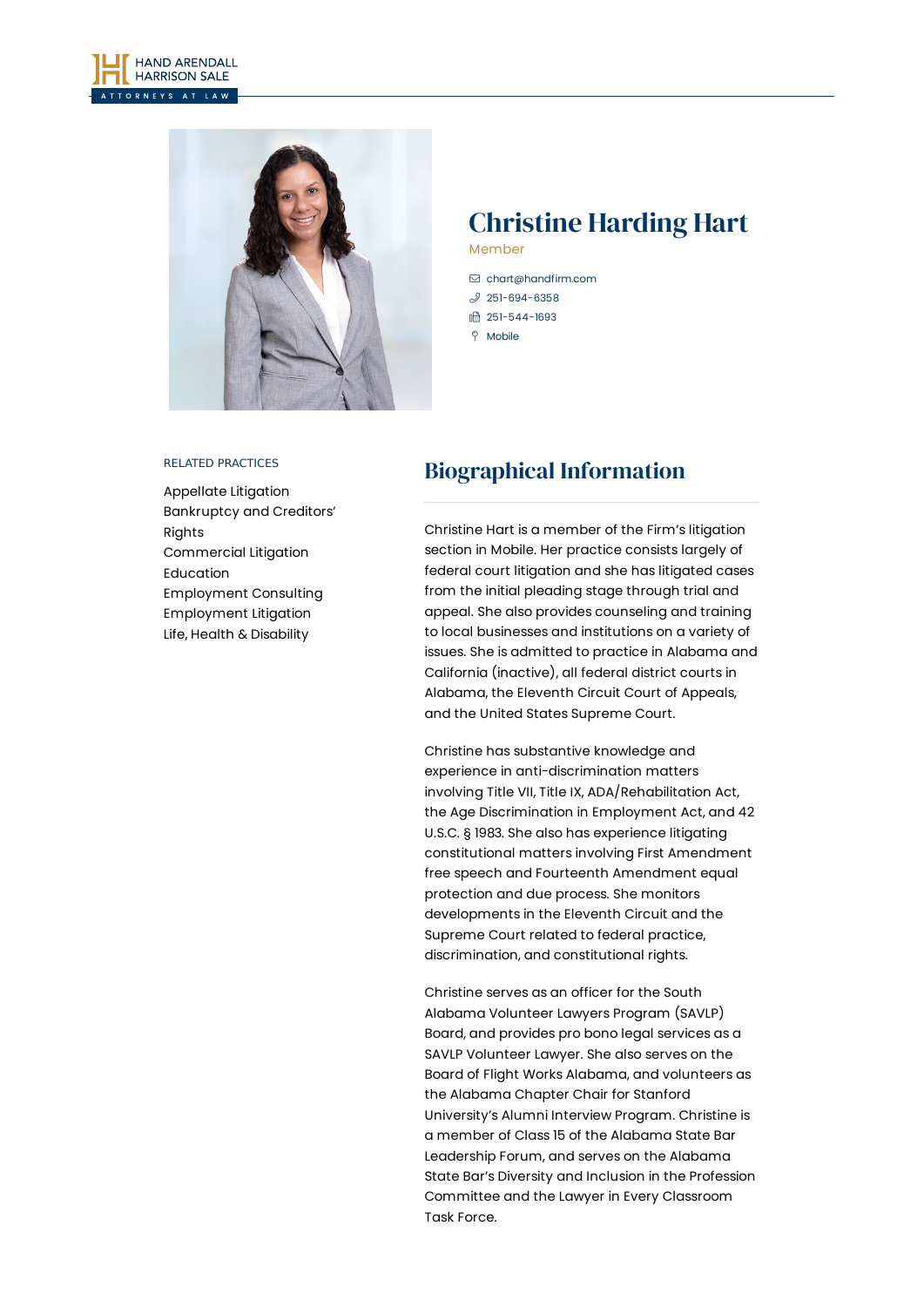



# Christine Harding Hart

Member

- [chart@handfirm.com](mailto:chart@handfirm.com)  $$251-694-6358$  $$251-694-6358$
- □ 251-544-1693
- 
- $\degree$  Mobile

### RELATED PRACTICES

[Appellate](https://www.handfirm.com/practices/litigation/appellate-litigation/) Litigation [Bankruptcy](https://www.handfirm.com/practices/litigation/bankruptcy-and-creditors-rights/) and Creditors' Rights [Commercial](https://www.handfirm.com/practices/litigation/commercial-litigation/) Litigation [Education](https://www.handfirm.com/practices/industries/education/) [Employment](https://www.handfirm.com/practices/business-services/employment-consulting/) Consulting [Employment](https://www.handfirm.com/practices/litigation/employment-litigation/) Litigation Life, Health & [Disability](https://www.handfirm.com/practices/litigation/life-health-disability/)

## Biographical Information

Christine Hart is a member of the Firm's litigation section in Mobile. Her practice consists largely of federal court litigation and she has litigated cases from the initial pleading stage through trial and appeal. She also provides counseling and training to local businesses and institutions on a variety of issues. She is admitted to practice in Alabama and California (inactive), all federal district courts in Alabama, the Eleventh Circuit Court of Appeals, and the United States Supreme Court.

Christine has substantive knowledge and experience in anti-discrimination matters involving Title VII, Title IX, ADA/Rehabilitation Act, the Age Discrimination in Employment Act, and 42 U.S.C. § 1983. She also has experience litigating constitutional matters involving First Amendment free speech and Fourteenth Amendment equal protection and due process. She monitors developments in the Eleventh Circuit and the Supreme Court related to federal practice, discrimination, and constitutional rights.

Christine serves as an officer for the South Alabama Volunteer Lawyers Program (SAVLP) Board, and provides pro bono legal services as a SAVLP Volunteer Lawyer. She also serves on the Board of Flight Works Alabama, and volunteers as the Alabama Chapter Chair for Stanford University's Alumni Interview Program. Christine is a member of Class 15 of the Alabama State Bar Leadership Forum, and serves on the Alabama State Bar's Diversity and Inclusion in the Profession Committee and the Lawyer in Every Classroom Task Force.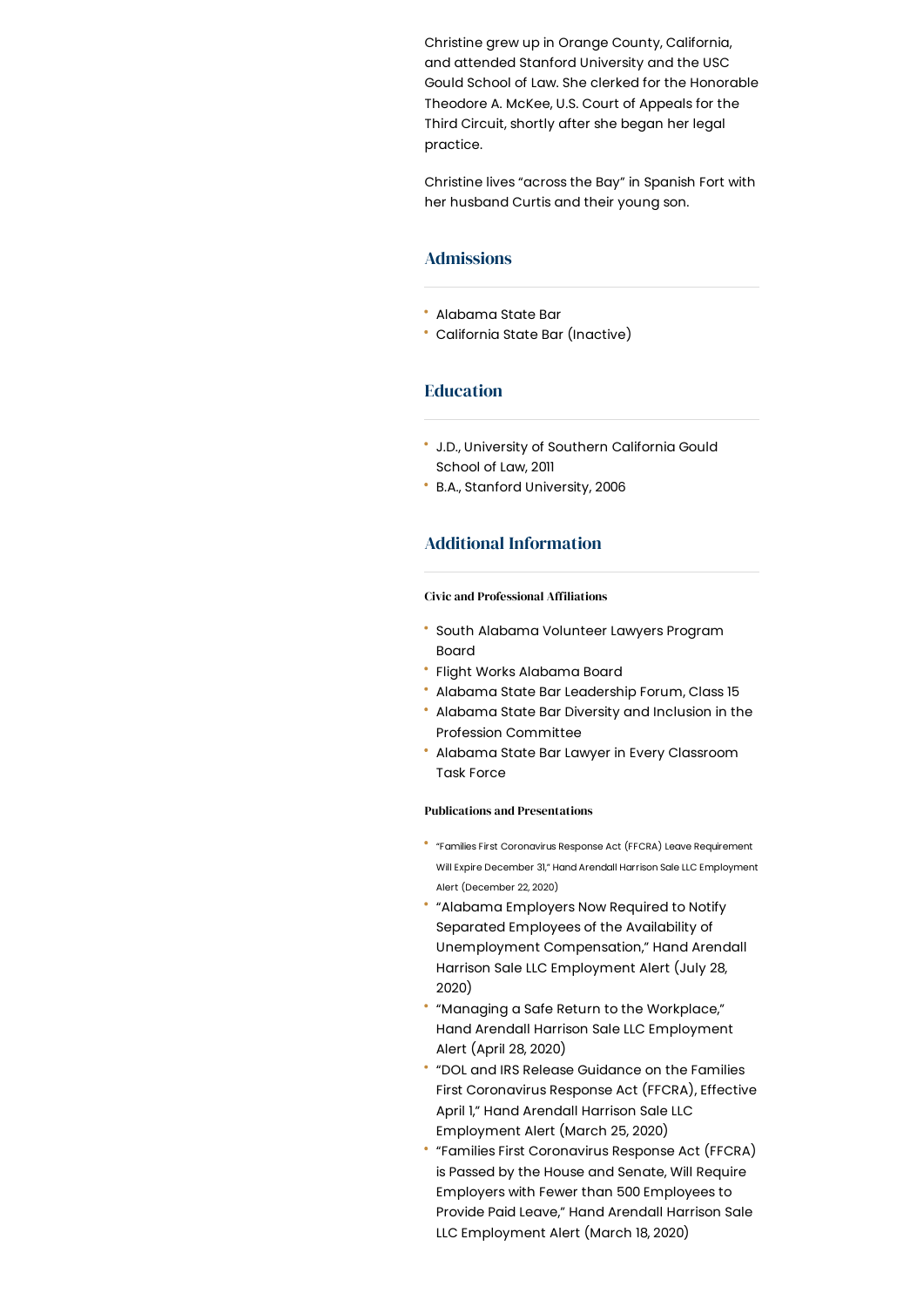Christine grew up in Orange County, California, and attended Stanford University and the USC Gould School of Law. She clerked for the Honorable Theodore A. McKee, U.S. Court of Appeals for the Third Circuit, shortly after she began her legal practice.

Christine lives "across the Bay" in Spanish Fort with her husband Curtis and their young son.

## Admissions

- Alabama State Bar
- California State Bar (Inactive)

## Education

- J.D., University of Southern California Gould School of Law, 2011
- B.A., Stanford University, 2006

## Additional Information

#### **Civic and Professional Affiliations**

- South Alabama Volunteer Lawyers Program Board
- Flight Works Alabama Board
- Alabama State Bar Leadership Forum, Class 15
- Alabama State Bar Diversity and Inclusion in the Profession Committee
- Alabama State Bar Lawyer in Every Classroom Task Force

#### Publications and Presentations

- "Families First Coronavirus Response Act (FFCRA) Leave Requirement Will Expire December 31," Hand Arendall Harrison Sale LLC Employment Alert (December 22, 2020)
- "Alabama Employers Now Required to Notify Separated Employees of the Availability of Unemployment Compensation," Hand Arendall Harrison Sale LLC Employment Alert (July 28, 2020)
- "Managing a Safe Return to the Workplace," Hand Arendall Harrison Sale LLC Employment Alert (April 28, 2020)
- "DOL and IRS Release Guidance on the Families First Coronavirus Response Act (FFCRA), Effective April 1," Hand Arendall Harrison Sale LLC Employment Alert (March 25, 2020)
- "Families First Coronavirus Response Act (FFCRA) is Passed by the House and Senate, Will Require Employers with Fewer than 500 Employees to Provide Paid Leave," Hand Arendall Harrison Sale LLC Employment Alert (March 18, 2020)